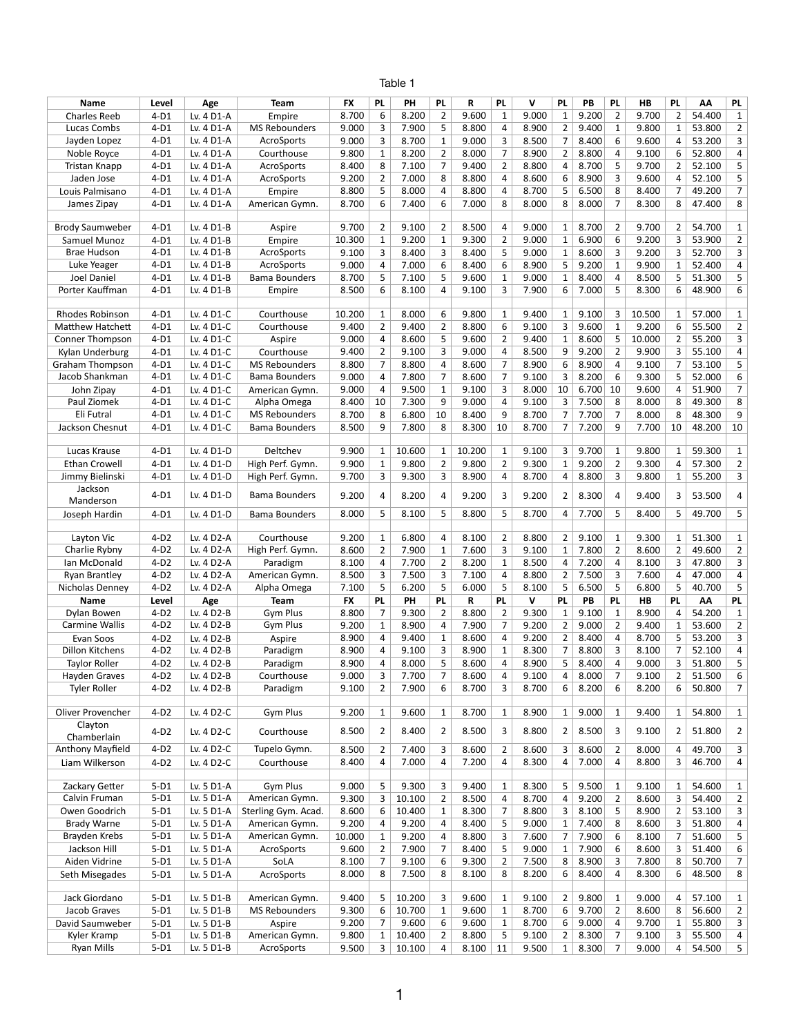## Table 1

| Name                   | Level  | Age        | <b>Team</b>          | <b>FX</b> | <b>PL</b>      | <b>PH</b> | <b>PL</b>      | R      | <b>PL</b>      | V            | <b>PL</b>      | PB    | <b>PL</b>               | HB     | <b>PL</b>      | AA     | <b>PL</b>               |
|------------------------|--------|------------|----------------------|-----------|----------------|-----------|----------------|--------|----------------|--------------|----------------|-------|-------------------------|--------|----------------|--------|-------------------------|
| <b>Charles Reeb</b>    | $4-D1$ | Lv. 4 D1-A | Empire               | 8.700     | 6              | 8.200     | $\overline{2}$ | 9.600  | 1              | 9.000        | $\mathbf{1}$   | 9.200 | $\overline{2}$          | 9.700  | $\overline{2}$ | 54.400 | $\mathbf{1}$            |
| Lucas Combs            | $4-D1$ | Lv. 4 D1-A | <b>MS Rebounders</b> | 9.000     | 3              | 7.900     | 5              | 8.800  | 4              | 8.900        | $\overline{2}$ | 9.400 | $\mathbf{1}$            | 9.800  | 1              | 53.800 | $\overline{2}$          |
|                        |        |            |                      |           |                |           |                |        |                |              |                |       |                         |        |                |        |                         |
| Jayden Lopez           | $4-D1$ | Lv. 4 D1-A | AcroSports           | 9.000     | 3              | 8.700     | $\mathbf{1}$   | 9.000  | 3              | 8.500        | 7              | 8.400 | 6                       | 9.600  | 4              | 53.200 | 3                       |
| Noble Royce            | $4-D1$ | Lv. 4 D1-A | Courthouse           | 9.800     | $\mathbf{1}$   | 8.200     | $\overline{2}$ | 8.000  | 7              | 8.900        | $\overline{2}$ | 8.800 | 4                       | 9.100  | 6              | 52.800 | 4                       |
| Tristan Knapp          | $4-D1$ | Lv. 4 D1-A | AcroSports           | 8.400     | 8              | 7.100     | 7              | 9.400  | $\overline{2}$ | 8.800        | 4              | 8.700 | 5                       | 9.700  | 2              | 52.100 | 5                       |
| Jaden Jose             | $4-D1$ | Lv. 4 D1-A | AcroSports           | 9.200     | $\overline{2}$ | 7.000     | 8              | 8.800  | 4              | 8.600        | 6              | 8.900 | 3                       | 9.600  | 4              | 52.100 | 5                       |
| Louis Palmisano        | $4-D1$ | Lv. 4 D1-A | Empire               | 8.800     | 5              | 8.000     | 4              | 8.800  | 4              | 8.700        | 5              | 6.500 | 8                       | 8.400  | 7              | 49.200 | $\overline{7}$          |
| James Zipay            | $4-D1$ | Lv. 4 D1-A | American Gymn.       | 8.700     | 6              | 7.400     | 6              | 7.000  | 8              | 8.000        | 8              | 8.000 | 7                       | 8.300  | 8              | 47.400 | $\,8\,$                 |
|                        |        |            |                      |           |                |           |                |        |                |              |                |       |                         |        |                |        |                         |
| <b>Brody Saumweber</b> | $4-D1$ | Lv. 4 D1-B | Aspire               | 9.700     | $\overline{2}$ | 9.100     | $\overline{2}$ | 8.500  | 4              | 9.000        | $\mathbf{1}$   | 8.700 | $\overline{2}$          | 9.700  | 2              | 54.700 | $\mathbf{1}$            |
| Samuel Munoz           | $4-D1$ | Lv. 4 D1-B | Empire               | 10.300    | $\mathbf{1}$   | 9.200     | $\mathbf{1}$   | 9.300  | $\overline{2}$ | 9.000        | $\mathbf{1}$   | 6.900 | 6                       | 9.200  | 3              | 53.900 | $\overline{2}$          |
| <b>Brae Hudson</b>     | $4-D1$ | Lv. 4 D1-B | AcroSports           | 9.100     | 3              | 8.400     | 3              | 8.400  | 5              | 9.000        | $\mathbf{1}$   | 8.600 | 3                       | 9.200  | 3              | 52.700 | $\mathbf{3}$            |
| Luke Yeager            | $4-D1$ | Lv. 4 D1-B | AcroSports           | 9.000     | 4              | 7.000     | 6              | 8.400  | 6              | 8.900        | 5              | 9.200 | $\mathbf{1}$            | 9.900  | $\mathbf{1}$   | 52.400 | $\overline{\mathbf{4}}$ |
|                        |        |            |                      | 8.700     | 5              | 7.100     |                | 9.600  |                | 9.000        |                | 8.400 |                         | 8.500  |                | 51.300 | 5                       |
| <b>Joel Daniel</b>     | $4-D1$ | Lv. 4 D1-B | <b>Bama Bounders</b> |           |                |           | 5              |        | 1              |              | $\mathbf{1}$   |       | $\overline{\mathbf{4}}$ |        | 5              |        |                         |
| Porter Kauffman        | $4-D1$ | Lv. 4 D1-B | Empire               | 8.500     | 6              | 8.100     | 4              | 9.100  | 3              | 7.900        | 6              | 7.000 | 5                       | 8.300  | 6              | 48.900 | 6                       |
|                        |        |            |                      |           |                |           |                |        |                |              |                |       |                         |        |                |        |                         |
| Rhodes Robinson        | $4-D1$ | Lv. 4 D1-C | Courthouse           | 10.200    | $\mathbf{1}$   | 8.000     | 6              | 9.800  | 1              | 9.400        | $\mathbf{1}$   | 9.100 | 3                       | 10.500 | 1              | 57.000 | $\mathbf{1}$            |
| Matthew Hatchett       | $4-D1$ | Lv. 4 D1-C | Courthouse           | 9.400     | $\overline{2}$ | 9.400     | 2              | 8.800  | 6              | 9.100        | 3              | 9.600 | $\mathbf{1}$            | 9.200  | 6              | 55.500 | $\overline{2}$          |
| Conner Thompson        | $4-D1$ | Lv. 4 D1-C | Aspire               | 9.000     | 4              | 8.600     | 5              | 9.600  | $\overline{2}$ | 9.400        | $\mathbf{1}$   | 8.600 | 5                       | 10.000 | 2              | 55.200 | 3                       |
| Kylan Underburg        | $4-D1$ | Lv. 4 D1-C | Courthouse           | 9.400     | $\overline{2}$ | 9.100     | 3              | 9.000  | 4              | 8.500        | 9              | 9.200 | $\overline{2}$          | 9.900  | 3              | 55.100 | 4                       |
| <b>Graham Thompson</b> | $4-D1$ | Lv. 4 D1-C | <b>MS Rebounders</b> | 8.800     | $\overline{7}$ | 8.800     | 4              | 8.600  | 7              | 8.900        | 6              | 8.900 | $\overline{4}$          | 9.100  | 7              | 53.100 | 5                       |
| Jacob Shankman         | $4-D1$ | Lv. 4 D1-C | <b>Bama Bounders</b> | 9.000     | 4              | 7.800     | 7              | 8.600  | $\overline{7}$ | 9.100        | 3              | 8.200 | 6                       | 9.300  | 5              | 52.000 | 6                       |
| John Zipay             | $4-D1$ | Lv. 4 D1-C | American Gymn.       | 9.000     | 4              | 9.500     | $\mathbf 1$    | 9.100  | 3              | 8.000        | 10             | 6.700 | 10                      | 9.600  | 4              | 51.900 | $\overline{7}$          |
|                        |        |            |                      |           |                |           |                |        | 4              |              |                |       |                         |        |                |        |                         |
| Paul Ziomek            | $4-D1$ | Lv. 4 D1-C | Alpha Omega          | 8.400     | 10             | 7.300     | 9              | 9.000  |                | 9.100        | 3              | 7.500 | 8                       | 8.000  | 8              | 49.300 | $\,8\,$                 |
| Eli Futral             | $4-D1$ | Lv. 4 D1-C | <b>MS Rebounders</b> | 8.700     | 8              | 6.800     | 10             | 8.400  | 9              | 8.700        | 7              | 7.700 | $\overline{7}$          | 8.000  | 8              | 48.300 | $\boldsymbol{9}$        |
| Jackson Chesnut        | $4-D1$ | Lv. 4 D1-C | <b>Bama Bounders</b> | 8.500     | 9              | 7.800     | 8              | 8.300  | 10             | 8.700        | $\overline{7}$ | 7.200 | 9                       | 7.700  | 10             | 48.200 | 10                      |
|                        |        |            |                      |           |                |           |                |        |                |              |                |       |                         |        |                |        |                         |
| Lucas Krause           | $4-D1$ | Lv. 4 D1-D | Deltchev             | 9.900     | $\mathbf{1}$   | 10.600    | $\mathbf{1}$   | 10.200 | 1              | 9.100        | 3              | 9.700 | $\mathbf{1}$            | 9.800  | $\mathbf{1}$   | 59.300 | $\mathbf{1}$            |
| <b>Ethan Crowell</b>   | $4-D1$ | Lv. 4 D1-D | High Perf. Gymn.     | 9.900     | $\mathbf{1}$   | 9.800     | $\overline{2}$ | 9.800  | $\overline{2}$ | 9.300        | $\mathbf{1}$   | 9.200 | $\overline{2}$          | 9.300  | 4              | 57.300 | $\overline{2}$          |
| Jimmy Bielinski        | $4-D1$ | Lv. 4 D1-D | High Perf. Gymn.     | 9.700     | 3              | 9.300     | 3              | 8.900  | 4              | 8.700        | 4              | 8.800 | 3                       | 9.800  | 1              | 55.200 | $\overline{3}$          |
| Jackson                |        |            |                      |           |                |           |                |        |                |              |                |       |                         |        |                |        |                         |
| Manderson              | $4-D1$ | Lv. 4 D1-D | <b>Bama Bounders</b> | 9.200     | 4              | 8.200     | 4              | 9.200  | 3              | 9.200        | 2              | 8.300 | 4                       | 9.400  | 3              | 53.500 | 4                       |
| Joseph Hardin          | $4-D1$ | Lv. 4 D1-D | <b>Bama Bounders</b> | 8.000     | 5              | 8.100     | 5              | 8.800  | 5              | 8.700        | 4              | 7.700 | 5                       | 8.400  | 5              | 49.700 | 5 <sub>1</sub>          |
|                        |        |            |                      |           |                |           |                |        |                |              |                |       |                         |        |                |        |                         |
| Layton Vic             | $4-D2$ | Lv. 4 D2-A | Courthouse           | 9.200     | $\mathbf{1}$   | 6.800     | 4              | 8.100  | $\overline{2}$ | 8.800        | $\overline{2}$ | 9.100 | $\mathbf{1}$            | 9.300  | $\mathbf{1}$   | 51.300 | 1                       |
|                        |        |            |                      |           |                |           |                |        |                |              |                |       |                         |        |                |        |                         |
| Charlie Rybny          | $4-D2$ | Lv. 4 D2-A | High Perf. Gymn.     | 8.600     | $\overline{2}$ | 7.900     | $\mathbf{1}$   | 7.600  | 3              | 9.100        | $\mathbf{1}$   | 7.800 | $\overline{2}$          | 8.600  | 2              | 49.600 | $\overline{2}$          |
| Ian McDonald           | $4-D2$ | Lv. 4 D2-A | Paradigm             | 8.100     | 4              | 7.700     | $\overline{2}$ | 8.200  | $\mathbf{1}$   | 8.500        | 4              | 7.200 | $\overline{4}$          | 8.100  | 3              | 47.800 | $\overline{3}$          |
| Ryan Brantley          | $4-D2$ | Lv. 4 D2-A | American Gymn.       | 8.500     | 3              | 7.500     | 3              | 7.100  | 4              | 8.800        | $\overline{2}$ | 7.500 | 3                       | 7.600  | 4              | 47.000 | $\overline{\mathbf{4}}$ |
| Nicholas Denney        | $4-D2$ | Lv. 4 D2-A | Alpha Omega          | 7.100     | 5              | 6.200     | 5              | 6.000  | 5              | 8.100        | 5              | 6.500 | 5                       | 6.800  | 5              | 40.700 | $\mathsf S$             |
| <b>Name</b>            | Level  | Age        | <b>Team</b>          | <b>FX</b> | <b>PL</b>      | PH        | <b>PL</b>      | R      | <b>PL</b>      | $\mathsf{V}$ | <b>PL</b>      | PB    | <b>PL</b>               | HB     | <b>PL</b>      | AA     | <b>PL</b>               |
| Dylan Bowen            | $4-D2$ | Lv. 4 D2-B | Gym Plus             | 8.800     | $\overline{7}$ | 9.300     | $\overline{2}$ | 8.800  | $\overline{2}$ | 9.300        | $\mathbf{1}$   | 9.100 | $\mathbf{1}$            | 8.900  | 4              | 54.200 | $\mathbf{1}$            |
| <b>Carmine Wallis</b>  | $4-D2$ | Lv. 4 D2-B | Gym Plus             | 9.200     | $\mathbf{1}$   | 8.900     | 4              | 7.900  | $\overline{7}$ | 9.200        | $\overline{2}$ | 9.000 | $\overline{2}$          | 9.400  | 1              | 53.600 | $\overline{2}$          |
| Evan Soos              | $4-D2$ | Lv. 4 D2-B | Aspire               | 8.900     | 4              | 9.400     | $\mathbf 1$    | 8.600  | 4              | 9.200        | $\overline{2}$ | 8.400 | $\overline{4}$          | 8.700  | 5              | 53.200 | $\overline{3}$          |
| Dillon Kitchens        | $4-D2$ | Lv. 4 D2-B | Paradigm             | 8.900     | 4              | 9.100     | 3              | 8.900  | 1              | 8.300        | $\overline{7}$ | 8.800 | 3                       | 8.100  | 7              | 52.100 | $\overline{4}$          |
|                        |        |            |                      | 8.900     | 4              | 8.000     | 5              | 8.600  | 4              | 8.900        | 5              | 8.400 | $\overline{\mathbf{4}}$ | 9.000  | 3              | 51.800 | 5                       |
| <b>Taylor Roller</b>   | $4-D2$ | Lv. 4 D2-B | Paradigm             |           |                |           |                |        |                |              |                |       |                         |        |                |        |                         |
| Hayden Graves          | $4-D2$ | Lv. 4 D2-B | Courthouse           | 9.000     | 3              | 7.700     | $\overline{7}$ | 8.600  | 4              | 9.100        | 4              | 8.000 | 7                       | 9.100  | 2              | 51.500 | $\boldsymbol{6}$        |
| <b>Tyler Roller</b>    | $4-D2$ | Lv. 4 D2-B | Paradigm             | 9.100     | $\overline{2}$ | 7.900     | 6              | 8.700  | 3              | 8.700        | 6              | 8.200 | 6                       | 8.200  | 6              | 50.800 | $7\overline{ }$         |
|                        |        |            |                      |           |                |           |                |        |                |              |                |       |                         |        |                |        |                         |
| Oliver Provencher      | $4-D2$ | Lv. 4 D2-C | Gym Plus             | 9.200     | $\mathbf{1}$   | 9.600     | $\mathbf 1$    | 8.700  | $\mathbf{1}$   | 8.900        | $\mathbf 1$    | 9.000 | $\mathbf{1}$            | 9.400  | $\mathbf 1$    | 54.800 | $\mathbf{1}$            |
| Clayton                | $4-D2$ | Lv. 4 D2-C | Courthouse           | 8.500     | $\overline{2}$ | 8.400     | $\overline{2}$ | 8.500  | 3              | 8.800        | $\overline{2}$ | 8.500 | 3                       | 9.100  | 2              | 51.800 | $\overline{2}$          |
| Chamberlain            |        |            |                      |           |                |           |                |        |                |              |                |       |                         |        |                |        |                         |
| Anthony Mayfield       | $4-D2$ | Lv. 4 D2-C | Tupelo Gymn.         | 8.500     | $\overline{2}$ | 7.400     | 3              | 8.600  | $\overline{2}$ | 8.600        | 3              | 8.600 | $\overline{2}$          | 8.000  | 4              | 49.700 | $\overline{3}$          |
| Liam Wilkerson         | $4-D2$ | Lv. 4 D2-C | Courthouse           | 8.400     | 4              | 7.000     | 4              | 7.200  | 4              | 8.300        | 4              | 7.000 | $\pmb{4}$               | 8.800  | 3              | 46.700 | $\overline{4}$          |
|                        |        |            |                      |           |                |           |                |        |                |              |                |       |                         |        |                |        |                         |
| Zackary Getter         | $5-D1$ | Lv. 5 D1-A | Gym Plus             | 9.000     | 5              | 9.300     | 3              | 9.400  | $\mathbf{1}$   | 8.300        | 5              | 9.500 | $\mathbf{1}$            | 9.100  | 1              | 54.600 | $\mathbf{1}$            |
| Calvin Fruman          | $5-D1$ | Lv. 5 D1-A | American Gymn.       | 9.300     | 3              | 10.100    | $\overline{2}$ | 8.500  | 4              | 8.700        | 4              | 9.200 | $\overline{2}$          | 8.600  | 3              | 54.400 | $\overline{2}$          |
| Owen Goodrich          | $5-D1$ | Lv. 5 D1-A |                      | 8.600     | 6              | 10.400    | $\mathbf{1}$   | 8.300  | 7              | 8.800        | 3              | 8.100 | 5                       | 8.900  | 2              | 53.100 | $\overline{3}$          |
|                        |        |            | Sterling Gym. Acad.  |           |                |           |                |        |                |              |                |       |                         |        |                |        |                         |
| <b>Brady Warne</b>     | $5-D1$ | Lv. 5 D1-A | American Gymn.       | 9.200     | 4              | 9.200     | 4              | 8.400  | 5              | 9.000        | $\mathbf{1}$   | 7.400 | 8                       | 8.600  | 3              | 51.800 | $\overline{4}$          |
| Brayden Krebs          | $5-D1$ | Lv. 5 D1-A | American Gymn.       | 10.000    | $\mathbf{1}$   | 9.200     | 4              | 8.800  | 3              | 7.600        | 7              | 7.900 | 6                       | 8.100  | 7              | 51.600 | 5                       |
| Jackson Hill           | $5-D1$ | Lv. 5 D1-A | AcroSports           | 9.600     | $\overline{2}$ | 7.900     | 7              | 8.400  | 5              | 9.000        | $\mathbf{1}$   | 7.900 | 6                       | 8.600  | 3              | 51.400 | 6                       |
| Aiden Vidrine          | $5-D1$ | Lv. 5 D1-A | SoLA                 | 8.100     | $\overline{7}$ | 9.100     | 6              | 9.300  | $\overline{2}$ | 7.500        | 8              | 8.900 | 3                       | 7.800  | 8              | 50.700 | 7 <sup>7</sup>          |
| Seth Misegades         | $5-D1$ | Lv. 5 D1-A | AcroSports           | 8.000     | 8              | 7.500     | 8              | 8.100  | 8              | 8.200        | 6              | 8.400 | $\overline{4}$          | 8.300  | 6              | 48.500 | 8                       |
|                        |        |            |                      |           |                |           |                |        |                |              |                |       |                         |        |                |        |                         |
| Jack Giordano          | $5-D1$ | Lv. 5 D1-B | American Gymn.       | 9.400     | 5              | 10.200    | 3              | 9.600  | $\mathbf{1}$   | 9.100        | $\overline{2}$ | 9.800 | $\mathbf{1}$            | 9.000  | 4              | 57.100 | $\mathbf{1}$            |
| Jacob Graves           | $5-D1$ | Lv. 5 D1-B | <b>MS Rebounders</b> | 9.300     | 6              | 10.700    | 1              | 9.600  | 1              | 8.700        | 6              | 9.700 | $\overline{2}$          | 8.600  | 8              | 56.600 | $\overline{2}$          |
| David Saumweber        | $5-D1$ | Lv. 5 D1-B | Aspire               | 9.200     | 7              | 9.600     | 6              | 9.600  | $\mathbf{1}$   | 8.700        | 6              | 9.000 | 4                       | 9.700  | 1              | 55.800 | $\overline{3}$          |
| Kyler Kramp            | $5-D1$ | Lv. 5 D1-B | American Gymn.       | 9.800     | 1              | 10.400    | $\overline{2}$ | 8.800  | 5              | 9.100        | 2              | 8.300 | 7                       | 9.100  | 3              | 55.500 | $\overline{4}$          |
| <b>Ryan Mills</b>      | $5-D1$ | Lv. 5 D1-B | AcroSports           | 9.500     | 3 <sup>1</sup> |           |                |        |                |              |                |       |                         |        |                |        |                         |
|                        |        |            |                      |           |                | 10.100    | 4              | 8.100  | 11             | 9.500        | $\mathbf{1}$   | 8.300 | 7                       | 9.000  | 4              | 54.500 | 5 <sub>1</sub>          |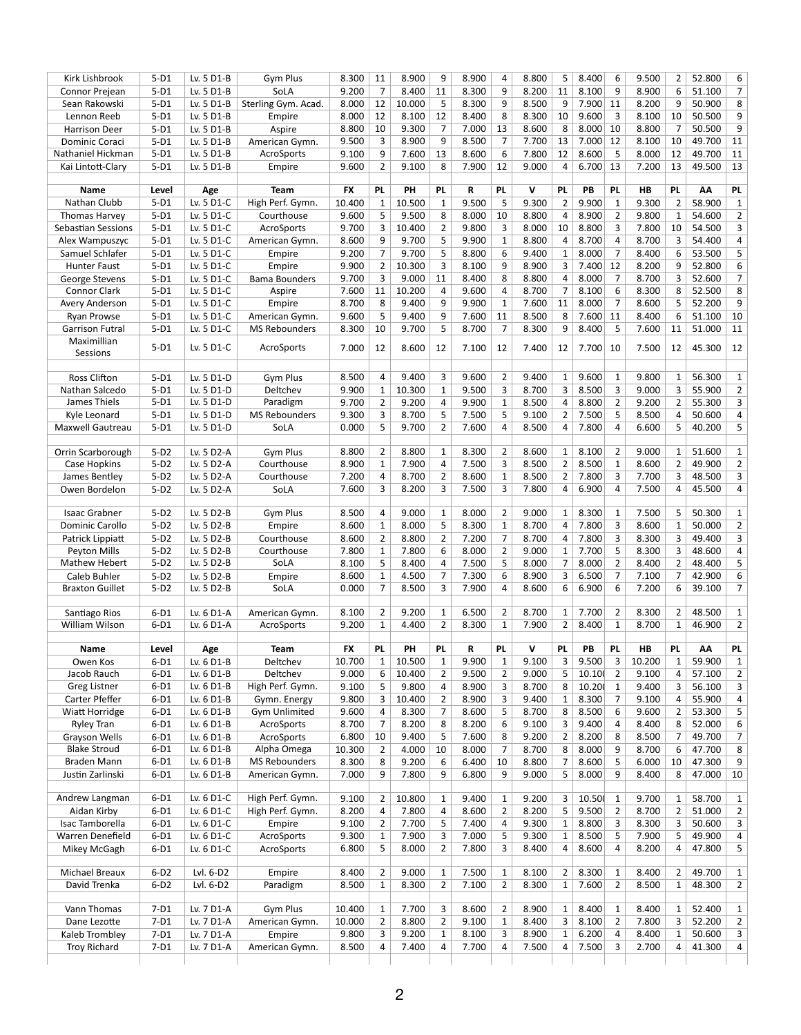| Kirk Lishbrook            | $5-D1$ | Lv. 5 D1-B | Gym Plus             | 8.300     | 11             | 8.900  | 9              | 8.900 | 4              | 8.800        | 5              | 8.400  | 6                      | 9.500  | $\overline{2}$ | 52.800 | 6                       |
|---------------------------|--------|------------|----------------------|-----------|----------------|--------|----------------|-------|----------------|--------------|----------------|--------|------------------------|--------|----------------|--------|-------------------------|
| Connor Prejean            | $5-D1$ | Lv. 5 D1-B | SoLA                 | 9.200     | $\overline{7}$ | 8.400  | 11             | 8.300 | 9              | 8.200        | 11             | 8.100  | 9                      | 8.900  | 6              | 51.100 | $\overline{7}$          |
| Sean Rakowski             | $5-D1$ | Lv. 5 D1-B | Sterling Gym. Acad.  | 8.000     | 12             | 10.000 | 5              | 8.300 | 9              | 8.500        | 9              | 7.900  | 11                     | 8.200  | 9              | 50.900 | 8                       |
| Lennon Reeb               | $5-D1$ | Lv. 5 D1-B | Empire               | 8.000     | 12             | 8.100  | 12             | 8.400 | 8              | 8.300        | 10             | 9.600  | 3                      | 8.100  | 10             | 50.500 | 9                       |
| <b>Harrison Deer</b>      | $5-D1$ | Lv. 5 D1-B | Aspire               | 8.800     | 10             | 9.300  | $\overline{7}$ | 7.000 | 13             | 8.600        | 8              | 8.000  | 10                     | 8.800  | $\overline{7}$ | 50.500 | 9                       |
| Dominic Coraci            | $5-D1$ | Lv. 5 D1-B | American Gymn.       | 9.500     | 3              | 8.900  | 9              | 8.500 | 7              | 7.700        | 13             | 7.000  | 12                     | 8.100  | 10             | 49.700 | 11                      |
| Nathaniel Hickman         | $5-D1$ | Lv. 5 D1-B | AcroSports           | 9.100     | 9              | 7.600  | 13             | 8.600 | 6              | 7.800        | 12             | 8.600  | 5                      | 8.000  | 12             | 49.700 | 11                      |
| Kai Lintott-Clary         | $5-D1$ | Lv. 5 D1-B | Empire               | 9.600     | $\overline{2}$ | 9.100  | 8              | 7.900 | 12             | 9.000        | 4              | 6.700  | 13                     | 7.200  | 13             | 49.500 | 13                      |
| <b>Name</b>               | Level  | Age        | <b>Team</b>          | <b>FX</b> | <b>PL</b>      | PH     | <b>PL</b>      | R     | <b>PL</b>      | V            | <b>PL</b>      | PB     | <b>PL</b>              | H B    | <b>PL</b>      | AA     | <b>PL</b>               |
| Nathan Clubb              | $5-D1$ | Lv. 5 D1-C | High Perf. Gymn.     | 10.400    | $\mathbf{1}$   | 10.500 | $\mathbf{1}$   | 9.500 | 5              | 9.300        | $\overline{2}$ | 9.900  | $\mathbf{1}$           | 9.300  | $\overline{2}$ | 58.900 | $\mathbf{1}$            |
| Thomas Harvey             | $5-D1$ | Lv. 5 D1-C | Courthouse           | 9.600     | 5              | 9.500  | 8              | 8.000 | 10             | 8.800        | $\overline{4}$ | 8.900  | $\overline{2}$         | 9.800  | 1              | 54.600 | $\overline{2}$          |
| <b>Sebastian Sessions</b> | $5-D1$ | Lv. 5 D1-C | AcroSports           | 9.700     | 3              | 10.400 | $\overline{2}$ | 9.800 | 3              | 8.000        | 10             | 8.800  | 3                      | 7.800  | 10             | 54.500 | $\overline{3}$          |
| Alex Wampuszyc            | $5-D1$ | Lv. 5 D1-C | American Gymn.       | 8.600     | 9              | 9.700  | 5              | 9.900 | $\mathbf{1}$   | 8.800        | 4              | 8.700  | 4                      | 8.700  | 3              | 54.400 | 4                       |
| Samuel Schlafer           | $5-D1$ | Lv. 5 D1-C | Empire               | 9.200     | $\overline{7}$ | 9.700  | 5              | 8.800 | 6              | 9.400        | $\mathbf{1}$   | 8.000  | $\overline{7}$         | 8.400  | 6              | 53.500 | 5                       |
| <b>Hunter Faust</b>       | $5-D1$ | Lv. 5 D1-C | Empire               | 9.900     | $\overline{2}$ | 10.300 | 3              | 8.100 | 9              | 8.900        | 3              | 7.400  | 12                     | 8.200  | 9              | 52.800 | 6                       |
| <b>George Stevens</b>     | $5-D1$ | Lv. 5 D1-C | <b>Bama Bounders</b> | 9.700     | 3              | 9.000  | 11             | 8.400 | 8              | 8.800        | 4              | 8.000  | 7                      | 8.700  | 3              | 52.600 | 7 <sup>1</sup>          |
| <b>Connor Clark</b>       | $5-D1$ | Lv. 5 D1-C | Aspire               | 7.600     | 11             | 10.200 | 4              | 9.600 | 4              | 8.700        | $\overline{7}$ | 8.100  | 6                      | 8.300  | 8              | 52.500 | 8                       |
| Avery Anderson            | $5-D1$ | Lv. 5 D1-C | Empire               | 8.700     | 8              | 9.400  | 9              | 9.900 | $\mathbf{1}$   | 7.600        | 11             | 8.000  | 7                      | 8.600  | 5              | 52.200 | $\boldsymbol{9}$        |
| Ryan Prowse               | $5-D1$ | Lv. 5 D1-C | American Gymn.       | 9.600     | 5              | 9.400  | 9              | 7.600 | 11             | 8.500        | 8              | 7.600  | 11                     | 8.400  | 6              | 51.100 | 10                      |
| <b>Garrison Futral</b>    | $5-D1$ | Lv. 5 D1-C | <b>MS Rebounders</b> | 8.300     | 10             | 9.700  | 5              | 8.700 | 7              | 8.300        | 9              | 8.400  | 5                      | 7.600  | 11             | 51.000 | 11                      |
| Maximillian<br>Sessions   | $5-D1$ | Lv. 5 D1-C | AcroSports           | 7.000     | 12             | 8.600  | 12             | 7.100 | 12             | 7.400        | 12             | 7.700  | 10                     | 7.500  | 12             | 45.300 | 12                      |
|                           |        |            |                      |           |                |        |                |       |                |              |                |        |                        |        |                |        |                         |
| <b>Ross Clifton</b>       | $5-D1$ | Lv. 5 D1-D | Gym Plus             | 8.500     | 4              | 9.400  | 3              | 9.600 | $\overline{2}$ | 9.400        | $\mathbf{1}$   | 9.600  | $\mathbf{1}$           | 9.800  | $\mathbf{1}$   | 56.300 | $\mathbf{1}$            |
| Nathan Salcedo            | $5-D1$ | Lv. 5 D1-D | Deltchev             | 9.900     | $\mathbf{1}$   | 10.300 | $\mathbf{1}$   | 9.500 | 3              | 8.700        | 3              | 8.500  | 3                      | 9.000  | 3              | 55.900 | $\overline{2}$          |
| James Thiels              | $5-D1$ | Lv. 5 D1-D | Paradigm             | 9.700     | $\overline{2}$ | 9.200  | 4              | 9.900 | $\mathbf{1}$   | 8.500        | 4              | 8.800  | $\overline{2}$         | 9.200  | 2              | 55.300 | $\overline{3}$          |
| Kyle Leonard              | $5-D1$ | Lv. 5 D1-D | <b>MS Rebounders</b> | 9.300     | 3              | 8.700  | 5              | 7.500 | 5              | 9.100        | $\overline{2}$ | 7.500  | 5                      | 8.500  | 4              | 50.600 | $\overline{\mathbf{4}}$ |
| Maxwell Gautreau          | $5-D1$ | Lv. 5 D1-D | SoLA                 | 0.000     | 5              | 9.700  | $\overline{2}$ | 7.600 | 4              | 8.500        | 4              | 7.800  | 4                      | 6.600  | 5              | 40.200 | 5                       |
|                           |        |            |                      |           |                |        |                |       |                |              |                |        |                        |        |                |        |                         |
| Orrin Scarborough         | $5-D2$ | Lv. 5 D2-A | Gym Plus             | 8.800     | $\overline{2}$ | 8.800  | $\mathbf{1}$   | 8.300 | $\overline{2}$ | 8.600        | $\mathbf{1}$   | 8.100  | $\overline{2}$         | 9.000  | $\mathbf{1}$   | 51.600 | $\mathbf{1}$            |
| Case Hopkins              | $5-D2$ | Lv. 5 D2-A | Courthouse           | 8.900     | 1              | 7.900  | 4              | 7.500 | 3              | 8.500        | $\overline{2}$ | 8.500  | $\mathbf{1}$           | 8.600  | 2              | 49.900 | $\overline{2}$          |
| James Bentley             | $5-D2$ | Lv. 5 D2-A | Courthouse           | 7.200     | 4              | 8.700  | $\overline{2}$ | 8.600 | $\mathbf{1}$   | 8.500        | $\overline{2}$ | 7.800  | 3                      | 7.700  | 3              | 48.500 | $\overline{3}$          |
| Owen Bordelon             | $5-D2$ | Lv. 5 D2-A | SoLA                 | 7.600     | 3              | 8.200  | 3              | 7.500 | 3              | 7.800        | 4              | 6.900  | $\boldsymbol{\Lambda}$ | 7.500  | 4              | 45.500 | $\overline{4}$          |
| <b>Isaac Grabner</b>      | $5-D2$ | Lv. 5 D2-B | Gym Plus             | 8.500     | 4              | 9.000  | $\mathbf{1}$   | 8.000 | $\overline{2}$ | 9.000        | $\mathbf{1}$   | 8.300  | $\mathbf{1}$           | 7.500  | 5              | 50.300 | $\mathbf{1}$            |
| Dominic Carollo           | $5-D2$ | Lv. 5 D2-B | Empire               | 8.600     | 1              | 8.000  | 5              | 8.300 | 1              | 8.700        | 4              | 7.800  | 3                      | 8.600  | 1              | 50.000 | $\overline{2}$          |
| Patrick Lippiatt          | $5-D2$ | Lv. 5 D2-B | Courthouse           | 8.600     | $\overline{2}$ | 8.800  | $\overline{2}$ | 7.200 | $\overline{7}$ | 8.700        | 4              | 7.800  | 3                      | 8.300  | 3              | 49.400 | $\overline{3}$          |
| Peyton Mills              | $5-D2$ | Lv. 5 D2-B | Courthouse           | 7.800     | $\mathbf{1}$   | 7.800  | 6              | 8.000 | $\overline{2}$ | 9.000        | $\mathbf{1}$   | 7.700  | 5                      | 8.300  | 3              | 48.600 | $\overline{\mathbf{4}}$ |
| Mathew Hebert             | $5-D2$ | Lv. 5 D2-B | SoLA                 | 8.100     | 5              | 8.400  | $\overline{4}$ | 7.500 | 5              | 8.000        | $\overline{7}$ | 8.000  | $\overline{2}$         | 8.400  | 2              | 48.400 | 5                       |
| Caleb Buhler              | $5-D2$ | Lv. 5 D2-B | Empire               | 8.600     | $\mathbf{1}$   | 4.500  | $\overline{7}$ | 7.300 | 6              | 8.900        | 3              | 6.500  | 7                      | 7.100  | 7              | 42.900 | 6                       |
| <b>Braxton Guillet</b>    | $5-D2$ | Lv. 5 D2-B | SoLA                 | 0.000     | 7              | 8.500  | 3              | 7.900 | 4              | 8.600        | 6              | 6.900  | 6                      | 7.200  | 6              | 39.100 | 7 <sup>1</sup>          |
| Santiago Rios             | $6-D1$ | Lv. 6 D1-A | American Gymn.       | 8.100     | $\overline{2}$ | 9.200  | $\mathbf{1}$   | 6.500 | $\overline{2}$ | 8.700        | $\mathbf{1}$   | 7.700  | $\overline{2}$         | 8.300  | $\overline{2}$ | 48.500 | $\mathbf{1}$            |
| William Wilson            | $6-D1$ | Lv. 6 D1-A | AcroSports           | 9.200     | $\mathbf{1}$   | 4.400  | 2              | 8.300 | $\mathbf{1}$   | 7.900        | $\overline{2}$ | 8.400  | $\mathbf{1}$           | 8.700  | $\mathbf 1$    | 46.900 | $\overline{2}$          |
|                           |        |            |                      |           |                |        |                |       |                |              |                |        |                        |        |                |        |                         |
| <b>Name</b>               | Level  | Age        | <b>Team</b>          | <b>FX</b> | <b>PL</b>      | PH     | <b>PL</b>      | R     | <b>PL</b>      | $\mathsf{v}$ | <b>PL</b>      | PB     | <b>PL</b>              | HB     | <b>PL</b>      | AA     | <b>PL</b>               |
| Owen Kos                  | $6-D1$ | Lv. 6 D1-B | Deltchev             | 10.700    | 1              | 10.500 | 1              | 9.900 | 1              | 9.100        | 3              | 9.500  | 3                      | 10.200 | 1              | 59.900 | $\mathbf{1}$            |
| Jacob Rauch               | $6-D1$ | Lv. 6 D1-B | Deltchev             | 9.000     | 6              | 10.400 | $\overline{2}$ | 9.500 | $\overline{2}$ | 9.000        | 5              | 10.10  | $\overline{2}$         | 9.100  | 4              | 57.100 | $\overline{2}$          |
| <b>Greg Listner</b>       | $6-D1$ | Lv. 6 D1-B | High Perf. Gymn.     | 9.100     | 5              | 9.800  | 4              | 8.900 | 3              | 8.700        | 8              | 10.200 | $\mathbf{1}$           | 9.400  | 3              | 56.100 | $\mathbf{3}$            |
| Carter Pfeffer            | $6-D1$ | Lv. 6 D1-B | Gymn. Energy         | 9.800     | 3              | 10.400 | $\overline{2}$ | 8.900 | 3              | 9.400        | $\mathbf{1}$   | 8.300  | 7                      | 9.100  | 4              | 55.900 | $\pmb{4}$               |
| Wiatt Horridge            | $6-D1$ | Lv. 6 D1-B | <b>Gym Unlimited</b> | 9.600     | 4              | 8.300  | $\overline{7}$ | 8.600 | 5              | 8.700        | 8              | 8.500  | 6                      | 9.600  | 2              | 53.300 | 5                       |
| <b>Ryley Tran</b>         | $6-D1$ | Lv. 6 D1-B | AcroSports           | 8.700     | $\overline{7}$ | 8.200  | 8              | 8.200 | 6              | 9.100        | 3              | 9.400  | 4                      | 8.400  | 8              | 52.000 | 6                       |
| <b>Grayson Wells</b>      | $6-D1$ | Lv. 6 D1-B | AcroSports           | 6.800     | 10             | 9.400  | 5              | 7.600 | 8              | 9.200        | $\overline{2}$ | 8.200  | 8                      | 8.500  | 7              | 49.700 | $\overline{7}$          |
| <b>Blake Stroud</b>       | $6-D1$ | Lv. 6 D1-B | Alpha Omega          | 10.300    | $\overline{2}$ | 4.000  | 10             | 8.000 | 7              | 8.700        | 8              | 8.000  | 9                      | 8.700  | 6              | 47.700 | 8                       |
| Braden Mann               | $6-D1$ | Lv. 6 D1-B | <b>MS Rebounders</b> | 8.300     | 8              | 9.200  | 6              | 6.400 | 10             | 8.800        | 7              | 8.600  | 5                      | 6.000  | 10             | 47.300 | $\boldsymbol{9}$        |
| Justin Zarlinski          | $6-D1$ | Lv. 6 D1-B | American Gymn.       | 7.000     | 9              | 7.800  | 9              | 6.800 | 9              | 9.000        | 5              | 8.000  | 9                      | 8.400  | 8              | 47.000 | 10                      |
| Andrew Langman            | $6-D1$ | Lv. 6 D1-C | High Perf. Gymn.     | 9.100     | $\overline{2}$ | 10.800 | $\mathbf{1}$   | 9.400 | 1              | 9.200        | 3              | 10.50  | $\mathbf{1}$           | 9.700  | 1              | 58.700 | $\mathbf{1}$            |
| Aidan Kirby               | $6-D1$ | Lv. 6 D1-C | High Perf. Gymn.     | 8.200     | 4              | 7.800  | 4              | 8.600 | $\overline{2}$ | 8.200        | 5              | 9.500  | $\overline{2}$         | 8.700  | 2              | 51.000 | $\overline{2}$          |
| Isac Tamborella           | $6-D1$ | Lv. 6 D1-C | Empire               | 9.100     | $\overline{2}$ | 7.700  | 5              | 7.400 | 4              | 9.300        | $\mathbf{1}$   | 8.800  | 3                      | 8.300  | 3              | 50.600 | $\mathbf{3}$            |
| Warren Denefield          | $6-D1$ | Lv. 6 D1-C | AcroSports           | 9.300     | $\mathbf{1}$   | 7.900  | 3              | 7.000 | 5              | 9.300        | 1              | 8.500  | 5                      | 7.900  | 5              | 49.900 | $\overline{\mathbf{4}}$ |
| Mikey McGagh              | $6-D1$ | Lv. 6 D1-C | AcroSports           | 6.800     | 5              | 8.000  | $\overline{2}$ | 7.800 | 3              | 8.400        | 4              | 8.600  | 4                      | 8.200  | 4              | 47.800 | 5                       |
| Michael Breaux            | $6-D2$ | Lvl. 6-D2  | Empire               | 8.400     | $\overline{2}$ | 9.000  | $\mathbf{1}$   | 7.500 | $\mathbf{1}$   | 8.100        | $\overline{2}$ | 8.300  | $\mathbf{1}$           | 8.400  | 2              | 49.700 | $\mathbf{1}$            |
| David Trenka              | $6-D2$ | Lvl. 6-D2  | Paradigm             | 8.500     |                | 8.300  |                | 7.100 | $\overline{2}$ | 8.300        |                | 7.600  | $\overline{2}$         | 8.500  |                | 48.300 | $\overline{2}$          |
|                           |        |            |                      |           | $\mathbf{1}$   |        | 2              |       |                |              | $\mathbf{1}$   |        |                        |        | 1              |        |                         |
| Vann Thomas               | $7-D1$ | Lv. 7 D1-A | Gym Plus             | 10.400    | 1              | 7.700  | 3              | 8.600 | $\overline{2}$ | 8.900        | $\mathbf{1}$   | 8.400  | $\mathbf{1}$           | 8.400  | 1              | 52.400 | $\mathbf{1}$            |
| Dane Lezotte              | $7-D1$ | Lv. 7 D1-A | American Gymn.       | 10.000    | $\overline{2}$ | 8.800  | $\overline{2}$ | 9.100 | 1              | 8.400        | 3              | 8.100  | $\overline{2}$         | 7.800  | 3              | 52.200 | 2                       |
| Kaleb Trombley            | $7-D1$ | Lv. 7 D1-A | Empire               | 9.800     | 3              | 9.200  | $\mathbf{1}$   | 8.100 | 3              | 8.900        | $\mathbf{1}$   | 6.200  | $\overline{4}$         | 8.400  | 1              | 50.600 | $\mathbf{3}$            |
| Troy Richard              | $7-D1$ | Lv. 7 D1-A | American Gymn.       | 8.500     | 4              | 7.400  | 4              | 7.700 | 4              | 7.500        | 4              | 7.500  | 3                      | 2.700  | 4              | 41.300 | 4                       |
|                           |        |            |                      |           |                |        |                |       |                |              |                |        |                        |        |                |        |                         |